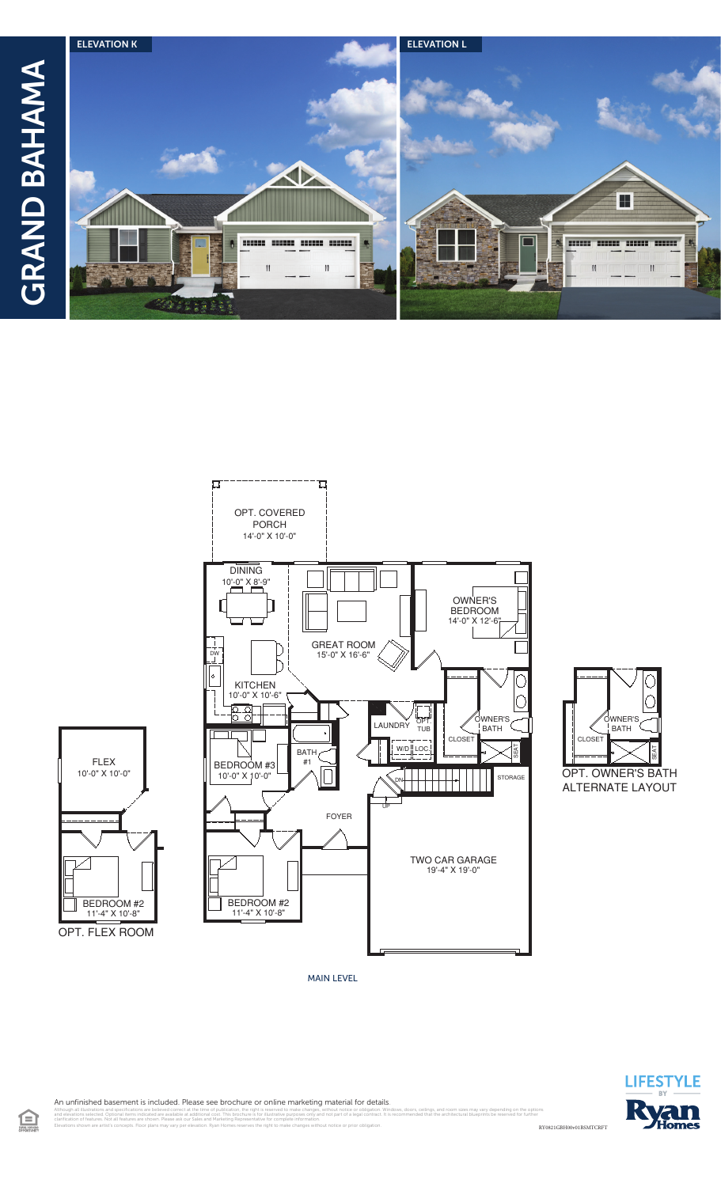







MAIN LEVEL



An unfinished basement is included. Please see brochure or online marketing material for details.

RY0821GBH00v01BSMTCRFT illustrations and specifications are believed correct at the time of publication, the right is reserved to make changes, without notice or obligation. Windows, doors, ceilings, and room sizes may vary depending on the opt<br> clarification of features. Not all features are shown. Please ask our Sales and Marketing Representative for complete information. Elevations shown are artist's concepts. Floor plans may vary per elevation. Ryan Homes reserves the right to make changes without notice or prior obligation.

 $\textcolor{blue}{\blacksquare}$